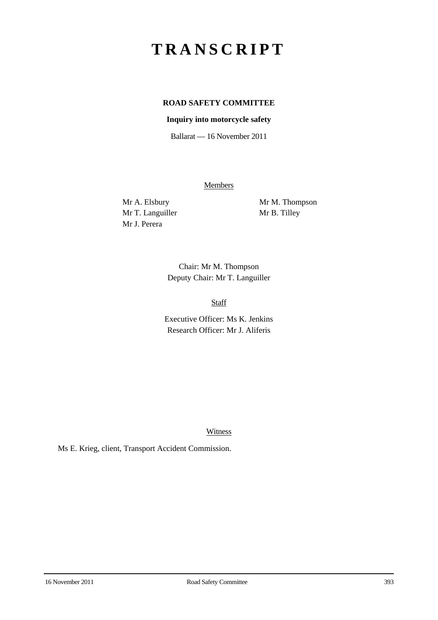# **TRANSCRIPT**

# **ROAD SAFETY COMMITTEE**

#### **Inquiry into motorcycle safety**

Ballarat — 16 November 2011

**Members** 

Mr T. Languiller Mr B. Tilley Mr J. Perera

Mr A. Elsbury Mr M. Thompson

Chair: Mr M. Thompson Deputy Chair: Mr T. Languiller

Staff

Executive Officer: Ms K. Jenkins Research Officer: Mr J. Aliferis

Witness

Ms E. Krieg, client, Transport Accident Commission.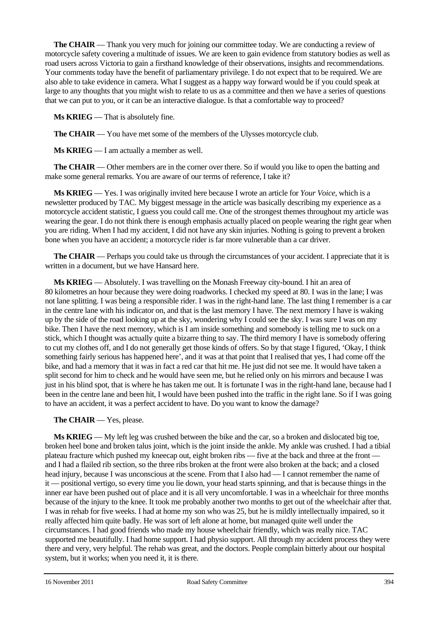**The CHAIR** — Thank you very much for joining our committee today. We are conducting a review of motorcycle safety covering a multitude of issues. We are keen to gain evidence from statutory bodies as well as road users across Victoria to gain a firsthand knowledge of their observations, insights and recommendations. Your comments today have the benefit of parliamentary privilege. I do not expect that to be required. We are also able to take evidence in camera. What I suggest as a happy way forward would be if you could speak at large to any thoughts that you might wish to relate to us as a committee and then we have a series of questions that we can put to you, or it can be an interactive dialogue. Is that a comfortable way to proceed?

**Ms KRIEG** — That is absolutely fine.

**The CHAIR** — You have met some of the members of the Ulysses motorcycle club.

**Ms KRIEG** — I am actually a member as well.

**The CHAIR** — Other members are in the corner over there. So if would you like to open the batting and make some general remarks. You are aware of our terms of reference, I take it?

**Ms KRIEG** — Yes. I was originally invited here because I wrote an article for *Your Voice*, which is a newsletter produced by TAC. My biggest message in the article was basically describing my experience as a motorcycle accident statistic, I guess you could call me. One of the strongest themes throughout my article was wearing the gear. I do not think there is enough emphasis actually placed on people wearing the right gear when you are riding. When I had my accident, I did not have any skin injuries. Nothing is going to prevent a broken bone when you have an accident; a motorcycle rider is far more vulnerable than a car driver.

**The CHAIR** — Perhaps you could take us through the circumstances of your accident. I appreciate that it is written in a document, but we have Hansard here.

**Ms KRIEG** — Absolutely. I was travelling on the Monash Freeway city-bound. I hit an area of 80 kilometres an hour because they were doing roadworks. I checked my speed at 80. I was in the lane; I was not lane splitting. I was being a responsible rider. I was in the right-hand lane. The last thing I remember is a car in the centre lane with his indicator on, and that is the last memory I have. The next memory I have is waking up by the side of the road looking up at the sky, wondering why I could see the sky. I was sure I was on my bike. Then I have the next memory, which is I am inside something and somebody is telling me to suck on a stick, which I thought was actually quite a bizarre thing to say. The third memory I have is somebody offering to cut my clothes off, and I do not generally get those kinds of offers. So by that stage I figured, 'Okay, I think something fairly serious has happened here', and it was at that point that I realised that yes, I had come off the bike, and had a memory that it was in fact a red car that hit me. He just did not see me. It would have taken a split second for him to check and he would have seen me, but he relied only on his mirrors and because I was just in his blind spot, that is where he has taken me out. It is fortunate I was in the right-hand lane, because had I been in the centre lane and been hit, I would have been pushed into the traffic in the right lane. So if I was going to have an accident, it was a perfect accident to have. Do you want to know the damage?

#### **The CHAIR** — Yes, please.

**Ms KRIEG** — My left leg was crushed between the bike and the car, so a broken and dislocated big toe, broken heel bone and broken talus joint, which is the joint inside the ankle. My ankle was crushed. I had a tibial plateau fracture which pushed my kneecap out, eight broken ribs — five at the back and three at the front and I had a flailed rib section, so the three ribs broken at the front were also broken at the back; and a closed head injury, because I was unconscious at the scene. From that I also had — I cannot remember the name of it — positional vertigo, so every time you lie down, your head starts spinning, and that is because things in the inner ear have been pushed out of place and it is all very uncomfortable. I was in a wheelchair for three months because of the injury to the knee. It took me probably another two months to get out of the wheelchair after that. I was in rehab for five weeks. I had at home my son who was 25, but he is mildly intellectually impaired, so it really affected him quite badly. He was sort of left alone at home, but managed quite well under the circumstances. I had good friends who made my house wheelchair friendly, which was really nice. TAC supported me beautifully. I had home support. I had physio support. All through my accident process they were there and very, very helpful. The rehab was great, and the doctors. People complain bitterly about our hospital system, but it works; when you need it, it is there.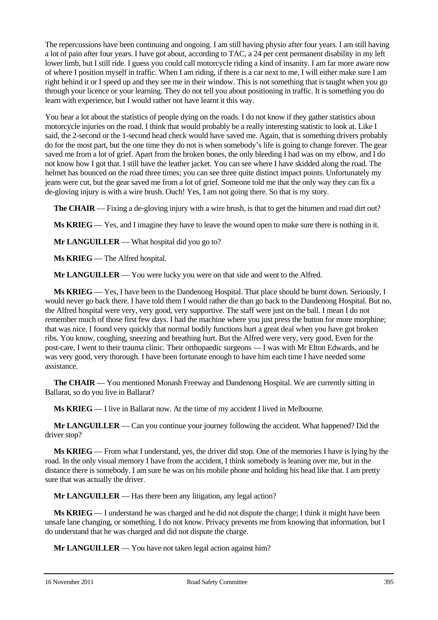The repercussions have been continuing and ongoing. I am still having physio after four years. I am still having a lot of pain after four years. I have got about, according to TAC, a 24 per cent permanent disability in my left lower limb, but I still ride. I guess you could call motorcycle riding a kind of insanity. I am far more aware now of where I position myself in traffic. When I am riding, if there is a car next to me, I will either make sure I am right behind it or I speed up and they see me in their window. This is not something that is taught when you go through your licence or your learning. They do not tell you about positioning in traffic. It is something you do learn with experience, but I would rather not have learnt it this way.

You hear a lot about the statistics of people dying on the roads. I do not know if they gather statistics about motorcycle injuries on the road. I think that would probably be a really interesting statistic to look at. Like I said, the 2-second or the 1-second head check would have saved me. Again, that is something drivers probably do for the most part, but the one time they do not is when somebody's life is going to change forever. The gear saved me from a lot of grief. Apart from the broken bones, the only bleeding I had was on my elbow, and I do not know how I got that. I still have the leather jacket. You can see where I have skidded along the road. The helmet has bounced on the road three times; you can see three quite distinct impact points. Unfortunately my jeans were cut, but the gear saved me from a lot of grief. Someone told me that the only way they can fix a de-gloving injury is with a wire brush. Ouch! Yes, I am not going there. So that is my story.

**The CHAIR** — Fixing a de-gloving injury with a wire brush, is that to get the bitumen and road dirt out?

**Ms KRIEG** — Yes, and I imagine they have to leave the wound open to make sure there is nothing in it.

**Mr LANGUILLER** — What hospital did you go to?

**Ms KRIEG** — The Alfred hospital.

**Mr LANGUILLER** — You were lucky you were on that side and went to the Alfred.

**Ms KRIEG** — Yes, I have been to the Dandenong Hospital. That place should be burnt down. Seriously, I would never go back there. I have told them I would rather die than go back to the Dandenong Hospital. But no, the Alfred hospital were very, very good, very supportive. The staff were just on the ball. I mean I do not remember much of those first few days. I had the machine where you just press the button for more morphine; that was nice. I found very quickly that normal bodily functions hurt a great deal when you have got broken ribs. You know, coughing, sneezing and breathing hurt. But the Alfred were very, very good. Even for the post-care, I went to their trauma clinic. Their orthopaedic surgeons — I was with Mr Elton Edwards, and he was very good, very thorough. I have been fortunate enough to have him each time I have needed some assistance.

**The CHAIR** — You mentioned Monash Freeway and Dandenong Hospital. We are currently sitting in Ballarat, so do you live in Ballarat?

**Ms KRIEG** — I live in Ballarat now. At the time of my accident I lived in Melbourne.

**Mr LANGUILLER** — Can you continue your journey following the accident. What happened? Did the driver stop?

**Ms KRIEG** — From what I understand, yes, the driver did stop. One of the memories I have is lying by the road. In the only visual memory I have from the accident, I think somebody is leaning over me, but in the distance there is somebody. I am sure he was on his mobile phone and holding his head like that. I am pretty sure that was actually the driver.

**Mr LANGUILLER** — Has there been any litigation, any legal action?

**Ms KRIEG** — I understand he was charged and he did not dispute the charge; I think it might have been unsafe lane changing, or something. I do not know. Privacy prevents me from knowing that information, but I do understand that he was charged and did not dispute the charge.

**Mr LANGUILLER** — You have not taken legal action against him?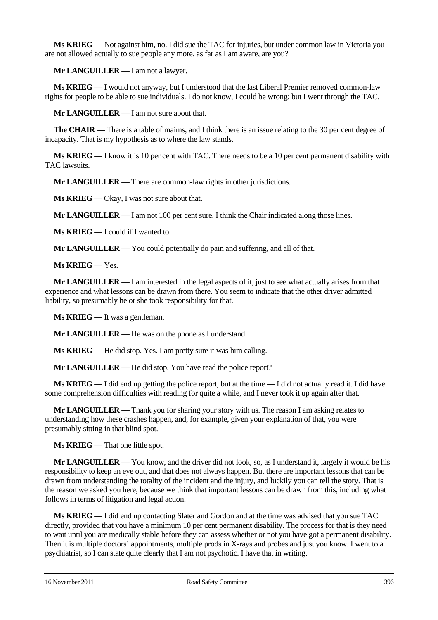**Ms KRIEG** — Not against him, no. I did sue the TAC for injuries, but under common law in Victoria you are not allowed actually to sue people any more, as far as I am aware, are you?

**Mr LANGUILLER** — I am not a lawyer.

**Ms KRIEG** — I would not anyway, but I understood that the last Liberal Premier removed common-law rights for people to be able to sue individuals. I do not know, I could be wrong; but I went through the TAC.

**Mr LANGUILLER** — I am not sure about that.

**The CHAIR** — There is a table of maims, and I think there is an issue relating to the 30 per cent degree of incapacity. That is my hypothesis as to where the law stands.

**Ms KRIEG** — I know it is 10 per cent with TAC. There needs to be a 10 per cent permanent disability with TAC lawsuits.

**Mr LANGUILLER** — There are common-law rights in other jurisdictions.

**Ms KRIEG** — Okay, I was not sure about that.

**Mr LANGUILLER** — I am not 100 per cent sure. I think the Chair indicated along those lines.

**Ms KRIEG** — I could if I wanted to.

**Mr LANGUILLER** — You could potentially do pain and suffering, and all of that.

**Ms KRIEG** — Yes.

**Mr LANGUILLER** — I am interested in the legal aspects of it, just to see what actually arises from that experience and what lessons can be drawn from there. You seem to indicate that the other driver admitted liability, so presumably he or she took responsibility for that.

**Ms KRIEG** — It was a gentleman.

**Mr LANGUILLER** — He was on the phone as I understand.

**Ms KRIEG** — He did stop. Yes. I am pretty sure it was him calling.

**Mr LANGUILLER** — He did stop. You have read the police report?

**Ms KRIEG** — I did end up getting the police report, but at the time — I did not actually read it. I did have some comprehension difficulties with reading for quite a while, and I never took it up again after that.

**Mr LANGUILLER** — Thank you for sharing your story with us. The reason I am asking relates to understanding how these crashes happen, and, for example, given your explanation of that, you were presumably sitting in that blind spot.

**Ms KRIEG** — That one little spot.

**Mr LANGUILLER** — You know, and the driver did not look, so, as I understand it, largely it would be his responsibility to keep an eye out, and that does not always happen. But there are important lessons that can be drawn from understanding the totality of the incident and the injury, and luckily you can tell the story. That is the reason we asked you here, because we think that important lessons can be drawn from this, including what follows in terms of litigation and legal action.

**Ms KRIEG** — I did end up contacting Slater and Gordon and at the time was advised that you sue TAC directly, provided that you have a minimum 10 per cent permanent disability. The process for that is they need to wait until you are medically stable before they can assess whether or not you have got a permanent disability. Then it is multiple doctors' appointments, multiple prods in X-rays and probes and just you know. I went to a psychiatrist, so I can state quite clearly that I am not psychotic. I have that in writing.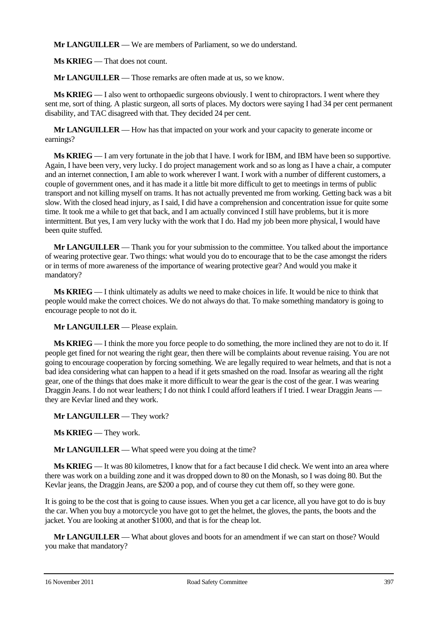**Mr LANGUILLER** — We are members of Parliament, so we do understand.

**Ms KRIEG** — That does not count.

**Mr LANGUILLER** — Those remarks are often made at us, so we know.

**Ms KRIEG** — I also went to orthopaedic surgeons obviously. I went to chiropractors. I went where they sent me, sort of thing. A plastic surgeon, all sorts of places. My doctors were saying I had 34 per cent permanent disability, and TAC disagreed with that. They decided 24 per cent.

**Mr LANGUILLER** — How has that impacted on your work and your capacity to generate income or earnings?

**Ms KRIEG** — I am very fortunate in the job that I have. I work for IBM, and IBM have been so supportive. Again, I have been very, very lucky. I do project management work and so as long as I have a chair, a computer and an internet connection, I am able to work wherever I want. I work with a number of different customers, a couple of government ones, and it has made it a little bit more difficult to get to meetings in terms of public transport and not killing myself on trams. It has not actually prevented me from working. Getting back was a bit slow. With the closed head injury, as I said, I did have a comprehension and concentration issue for quite some time. It took me a while to get that back, and I am actually convinced I still have problems, but it is more intermittent. But yes, I am very lucky with the work that I do. Had my job been more physical, I would have been quite stuffed.

**Mr LANGUILLER** — Thank you for your submission to the committee. You talked about the importance of wearing protective gear. Two things: what would you do to encourage that to be the case amongst the riders or in terms of more awareness of the importance of wearing protective gear? And would you make it mandatory?

**Ms KRIEG** — I think ultimately as adults we need to make choices in life. It would be nice to think that people would make the correct choices. We do not always do that. To make something mandatory is going to encourage people to not do it.

**Mr LANGUILLER** — Please explain.

**Ms KRIEG** — I think the more you force people to do something, the more inclined they are not to do it. If people get fined for not wearing the right gear, then there will be complaints about revenue raising. You are not going to encourage cooperation by forcing something. We are legally required to wear helmets, and that is not a bad idea considering what can happen to a head if it gets smashed on the road. Insofar as wearing all the right gear, one of the things that does make it more difficult to wear the gear is the cost of the gear. I was wearing Draggin Jeans. I do not wear leathers; I do not think I could afford leathers if I tried. I wear Draggin Jeans they are Kevlar lined and they work.

**Mr LANGUILLER** — They work?

**Ms KRIEG** — They work.

**Mr LANGUILLER** — What speed were you doing at the time?

**Ms KRIEG** — It was 80 kilometres, I know that for a fact because I did check. We went into an area where there was work on a building zone and it was dropped down to 80 on the Monash, so I was doing 80. But the Kevlar jeans, the Draggin Jeans, are \$200 a pop, and of course they cut them off, so they were gone.

It is going to be the cost that is going to cause issues. When you get a car licence, all you have got to do is buy the car. When you buy a motorcycle you have got to get the helmet, the gloves, the pants, the boots and the jacket. You are looking at another \$1000, and that is for the cheap lot.

**Mr LANGUILLER** — What about gloves and boots for an amendment if we can start on those? Would you make that mandatory?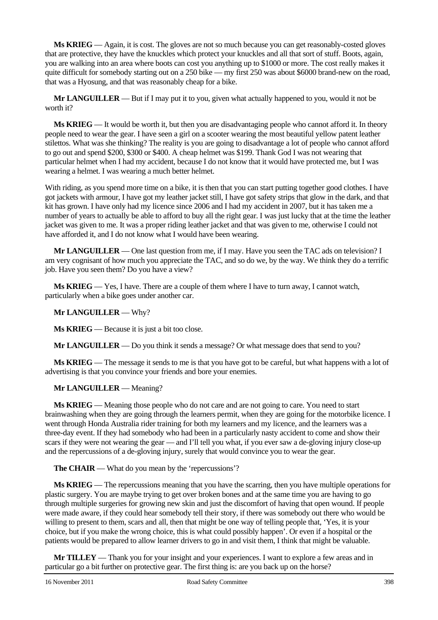**Ms KRIEG** — Again, it is cost. The gloves are not so much because you can get reasonably-costed gloves that are protective, they have the knuckles which protect your knuckles and all that sort of stuff. Boots, again, you are walking into an area where boots can cost you anything up to \$1000 or more. The cost really makes it quite difficult for somebody starting out on a 250 bike — my first 250 was about \$6000 brand-new on the road, that was a Hyosung, and that was reasonably cheap for a bike.

**Mr LANGUILLER** — But if I may put it to you, given what actually happened to you, would it not be worth it?

**Ms KRIEG** — It would be worth it, but then you are disadvantaging people who cannot afford it. In theory people need to wear the gear. I have seen a girl on a scooter wearing the most beautiful yellow patent leather stilettos. What was she thinking? The reality is you are going to disadvantage a lot of people who cannot afford to go out and spend \$200, \$300 or \$400. A cheap helmet was \$199. Thank God I was not wearing that particular helmet when I had my accident, because I do not know that it would have protected me, but I was wearing a helmet. I was wearing a much better helmet.

With riding, as you spend more time on a bike, it is then that you can start putting together good clothes. I have got jackets with armour, I have got my leather jacket still, I have got safety strips that glow in the dark, and that kit has grown. I have only had my licence since 2006 and I had my accident in 2007, but it has taken me a number of years to actually be able to afford to buy all the right gear. I was just lucky that at the time the leather jacket was given to me. It was a proper riding leather jacket and that was given to me, otherwise I could not have afforded it, and I do not know what I would have been wearing.

**Mr LANGUILLER** — One last question from me, if I may. Have you seen the TAC ads on television? I am very cognisant of how much you appreciate the TAC, and so do we, by the way. We think they do a terrific job. Have you seen them? Do you have a view?

**Ms KRIEG** — Yes, I have. There are a couple of them where I have to turn away, I cannot watch, particularly when a bike goes under another car.

#### **Mr LANGUILLER** — Why?

**Ms KRIEG** — Because it is just a bit too close.

**Mr LANGUILLER** — Do you think it sends a message? Or what message does that send to you?

**Ms KRIEG** — The message it sends to me is that you have got to be careful, but what happens with a lot of advertising is that you convince your friends and bore your enemies.

#### **Mr LANGUILLER** — Meaning?

**Ms KRIEG** — Meaning those people who do not care and are not going to care. You need to start brainwashing when they are going through the learners permit, when they are going for the motorbike licence. I went through Honda Australia rider training for both my learners and my licence, and the learners was a three-day event. If they had somebody who had been in a particularly nasty accident to come and show their scars if they were not wearing the gear — and I'll tell you what, if you ever saw a de-gloving injury close-up and the repercussions of a de-gloving injury, surely that would convince you to wear the gear.

**The CHAIR** — What do you mean by the 'repercussions'?

**Ms KRIEG** — The repercussions meaning that you have the scarring, then you have multiple operations for plastic surgery. You are maybe trying to get over broken bones and at the same time you are having to go through multiple surgeries for growing new skin and just the discomfort of having that open wound. If people were made aware, if they could hear somebody tell their story, if there was somebody out there who would be willing to present to them, scars and all, then that might be one way of telling people that, 'Yes, it is your choice, but if you make the wrong choice, this is what could possibly happen'. Or even if a hospital or the patients would be prepared to allow learner drivers to go in and visit them, I think that might be valuable.

**Mr TILLEY** — Thank you for your insight and your experiences. I want to explore a few areas and in particular go a bit further on protective gear. The first thing is: are you back up on the horse?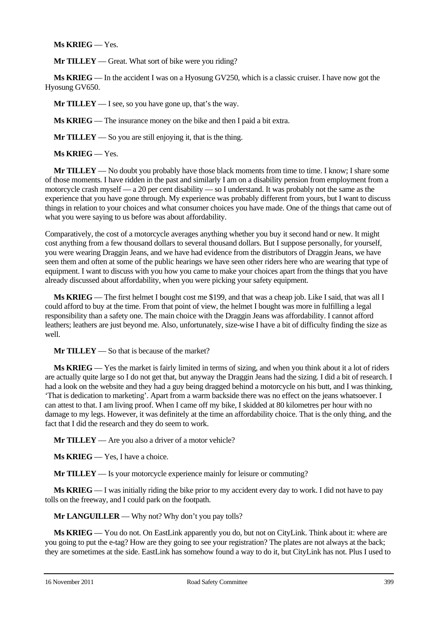## **Ms KRIEG** — Yes.

**Mr TILLEY** — Great. What sort of bike were you riding?

**Ms KRIEG** — In the accident I was on a Hyosung GV250, which is a classic cruiser. I have now got the Hyosung GV650.

**Mr TILLEY** — I see, so you have gone up, that's the way.

**Ms KRIEG** — The insurance money on the bike and then I paid a bit extra.

**Mr TILLEY** — So you are still enjoying it, that is the thing.

**Ms KRIEG** — Yes.

**Mr TILLEY** — No doubt you probably have those black moments from time to time. I know; I share some of those moments. I have ridden in the past and similarly I am on a disability pension from employment from a motorcycle crash myself — a 20 per cent disability — so I understand. It was probably not the same as the experience that you have gone through. My experience was probably different from yours, but I want to discuss things in relation to your choices and what consumer choices you have made. One of the things that came out of what you were saying to us before was about affordability.

Comparatively, the cost of a motorcycle averages anything whether you buy it second hand or new. It might cost anything from a few thousand dollars to several thousand dollars. But I suppose personally, for yourself, you were wearing Draggin Jeans, and we have had evidence from the distributors of Draggin Jeans, we have seen them and often at some of the public hearings we have seen other riders here who are wearing that type of equipment. I want to discuss with you how you came to make your choices apart from the things that you have already discussed about affordability, when you were picking your safety equipment.

**Ms KRIEG** — The first helmet I bought cost me \$199, and that was a cheap job. Like I said, that was all I could afford to buy at the time. From that point of view, the helmet I bought was more in fulfilling a legal responsibility than a safety one. The main choice with the Draggin Jeans was affordability. I cannot afford leathers; leathers are just beyond me. Also, unfortunately, size-wise I have a bit of difficulty finding the size as well.

**Mr TILLEY** — So that is because of the market?

**Ms KRIEG** — Yes the market is fairly limited in terms of sizing, and when you think about it a lot of riders are actually quite large so I do not get that, but anyway the Draggin Jeans had the sizing. I did a bit of research. I had a look on the website and they had a guy being dragged behind a motorcycle on his butt, and I was thinking, 'That is dedication to marketing'. Apart from a warm backside there was no effect on the jeans whatsoever. I can attest to that. I am living proof. When I came off my bike, I skidded at 80 kilometres per hour with no damage to my legs. However, it was definitely at the time an affordability choice. That is the only thing, and the fact that I did the research and they do seem to work.

**Mr TILLEY** — Are you also a driver of a motor vehicle?

**Ms KRIEG** — Yes, I have a choice.

**Mr TILLEY** — Is your motorcycle experience mainly for leisure or commuting?

**Ms KRIEG** — I was initially riding the bike prior to my accident every day to work. I did not have to pay tolls on the freeway, and I could park on the footpath.

**Mr LANGUILLER** — Why not? Why don't you pay tolls?

**Ms KRIEG** — You do not. On EastLink apparently you do, but not on CityLink. Think about it: where are you going to put the e-tag? How are they going to see your registration? The plates are not always at the back; they are sometimes at the side. EastLink has somehow found a way to do it, but CityLink has not. Plus I used to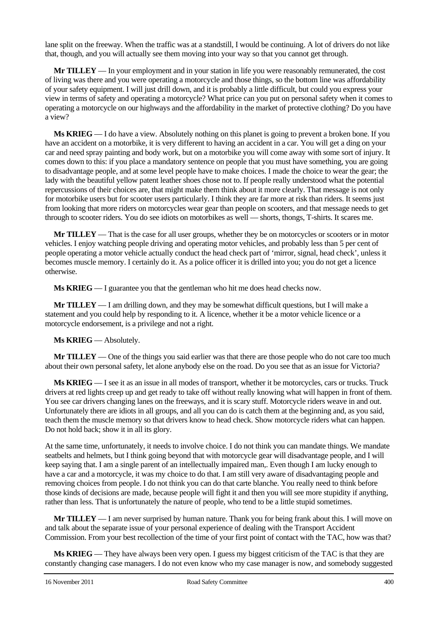lane split on the freeway. When the traffic was at a standstill, I would be continuing. A lot of drivers do not like that, though, and you will actually see them moving into your way so that you cannot get through.

**Mr TILLEY** — In your employment and in your station in life you were reasonably remunerated, the cost of living was there and you were operating a motorcycle and those things, so the bottom line was affordability of your safety equipment. I will just drill down, and it is probably a little difficult, but could you express your view in terms of safety and operating a motorcycle? What price can you put on personal safety when it comes to operating a motorcycle on our highways and the affordability in the market of protective clothing? Do you have a view?

**Ms KRIEG** — I do have a view. Absolutely nothing on this planet is going to prevent a broken bone. If you have an accident on a motorbike, it is very different to having an accident in a car. You will get a ding on your car and need spray painting and body work, but on a motorbike you will come away with some sort of injury. It comes down to this: if you place a mandatory sentence on people that you must have something, you are going to disadvantage people, and at some level people have to make choices. I made the choice to wear the gear; the lady with the beautiful yellow patent leather shoes chose not to. If people really understood what the potential repercussions of their choices are, that might make them think about it more clearly. That message is not only for motorbike users but for scooter users particularly. I think they are far more at risk than riders. It seems just from looking that more riders on motorcycles wear gear than people on scooters, and that message needs to get through to scooter riders. You do see idiots on motorbikes as well — shorts, thongs, T-shirts. It scares me.

**Mr TILLEY** — That is the case for all user groups, whether they be on motorcycles or scooters or in motor vehicles. I enjoy watching people driving and operating motor vehicles, and probably less than 5 per cent of people operating a motor vehicle actually conduct the head check part of 'mirror, signal, head check', unless it becomes muscle memory. I certainly do it. As a police officer it is drilled into you; you do not get a licence otherwise.

**Ms KRIEG** — I guarantee you that the gentleman who hit me does head checks now.

**Mr TILLEY** — I am drilling down, and they may be somewhat difficult questions, but I will make a statement and you could help by responding to it. A licence, whether it be a motor vehicle licence or a motorcycle endorsement, is a privilege and not a right.

## **Ms KRIEG** — Absolutely.

**Mr TILLEY** — One of the things you said earlier was that there are those people who do not care too much about their own personal safety, let alone anybody else on the road. Do you see that as an issue for Victoria?

**Ms KRIEG** — I see it as an issue in all modes of transport, whether it be motorcycles, cars or trucks. Truck drivers at red lights creep up and get ready to take off without really knowing what will happen in front of them. You see car drivers changing lanes on the freeways, and it is scary stuff. Motorcycle riders weave in and out. Unfortunately there are idiots in all groups, and all you can do is catch them at the beginning and, as you said, teach them the muscle memory so that drivers know to head check. Show motorcycle riders what can happen. Do not hold back; show it in all its glory.

At the same time, unfortunately, it needs to involve choice. I do not think you can mandate things. We mandate seatbelts and helmets, but I think going beyond that with motorcycle gear will disadvantage people, and I will keep saying that. I am a single parent of an intellectually impaired man,. Even though I am lucky enough to have a car and a motorcycle, it was my choice to do that. I am still very aware of disadvantaging people and removing choices from people. I do not think you can do that carte blanche. You really need to think before those kinds of decisions are made, because people will fight it and then you will see more stupidity if anything, rather than less. That is unfortunately the nature of people, who tend to be a little stupid sometimes.

**Mr TILLEY** — I am never surprised by human nature. Thank you for being frank about this. I will move on and talk about the separate issue of your personal experience of dealing with the Transport Accident Commission. From your best recollection of the time of your first point of contact with the TAC, how was that?

**Ms KRIEG** — They have always been very open. I guess my biggest criticism of the TAC is that they are constantly changing case managers. I do not even know who my case manager is now, and somebody suggested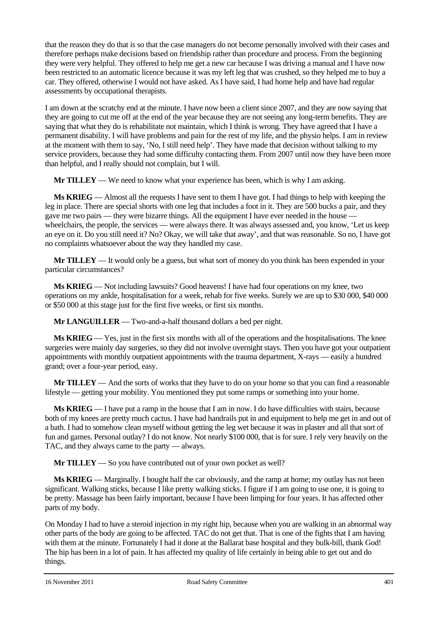that the reason they do that is so that the case managers do not become personally involved with their cases and therefore perhaps make decisions based on friendship rather than procedure and process. From the beginning they were very helpful. They offered to help me get a new car because I was driving a manual and I have now been restricted to an automatic licence because it was my left leg that was crushed, so they helped me to buy a car. They offered, otherwise I would not have asked. As I have said, I had home help and have had regular assessments by occupational therapists.

I am down at the scratchy end at the minute. I have now been a client since 2007, and they are now saying that they are going to cut me off at the end of the year because they are not seeing any long-term benefits. They are saying that what they do is rehabilitate not maintain, which I think is wrong. They have agreed that I have a permanent disability. I will have problems and pain for the rest of my life, and the physio helps. I am in review at the moment with them to say, 'No, I still need help'. They have made that decision without talking to my service providers, because they had some difficulty contacting them. From 2007 until now they have been more than helpful, and I really should not complain, but I will.

**Mr TILLEY** — We need to know what your experience has been, which is why I am asking.

**Ms KRIEG** — Almost all the requests I have sent to them I have got. I had things to help with keeping the leg in place. There are special shorts with one leg that includes a foot in it. They are 500 bucks a pair, and they gave me two pairs — they were bizarre things. All the equipment I have ever needed in the house wheelchairs, the people, the services — were always there. It was always assessed and, you know, 'Let us keep an eye on it. Do you still need it? No? Okay, we will take that away', and that was reasonable. So no, I have got no complaints whatsoever about the way they handled my case.

**Mr TILLEY** — It would only be a guess, but what sort of money do you think has been expended in your particular circumstances?

**Ms KRIEG** — Not including lawsuits? Good heavens! I have had four operations on my knee, two operations on my ankle, hospitalisation for a week, rehab for five weeks. Surely we are up to \$30 000, \$40 000 or \$50 000 at this stage just for the first five weeks, or first six months.

**Mr LANGUILLER** — Two-and-a-half thousand dollars a bed per night.

**Ms KRIEG** — Yes, just in the first six months with all of the operations and the hospitalisations. The knee surgeries were mainly day surgeries, so they did not involve overnight stays. Then you have got your outpatient appointments with monthly outpatient appointments with the trauma department, X-rays — easily a hundred grand; over a four-year period, easy.

**Mr TILLEY** — And the sorts of works that they have to do on your home so that you can find a reasonable lifestyle — getting your mobility. You mentioned they put some ramps or something into your home.

**Ms KRIEG** — I have put a ramp in the house that I am in now. I do have difficulties with stairs, because both of my knees are pretty much cactus. I have had handrails put in and equipment to help me get in and out of a bath. I had to somehow clean myself without getting the leg wet because it was in plaster and all that sort of fun and games. Personal outlay? I do not know. Not nearly \$100 000, that is for sure. I rely very heavily on the TAC, and they always came to the party — always.

**Mr TILLEY** — So you have contributed out of your own pocket as well?

**Ms KRIEG** — Marginally. I bought half the car obviously, and the ramp at home; my outlay has not been significant. Walking sticks, because I like pretty walking sticks. I figure if I am going to use one, it is going to be pretty. Massage has been fairly important, because I have been limping for four years. It has affected other parts of my body.

On Monday I had to have a steroid injection in my right hip, because when you are walking in an abnormal way other parts of the body are going to be affected. TAC do not get that. That is one of the fights that I am having with them at the minute. Fortunately I had it done at the Ballarat base hospital and they bulk-bill, thank God! The hip has been in a lot of pain. It has affected my quality of life certainly in being able to get out and do things.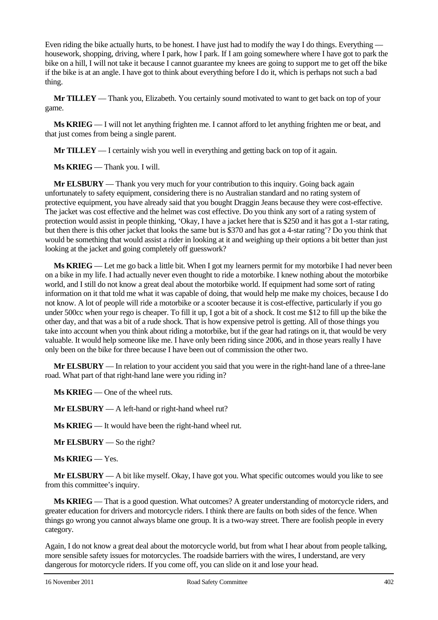Even riding the bike actually hurts, to be honest. I have just had to modify the way I do things. Everything housework, shopping, driving, where I park, how I park. If I am going somewhere where I have got to park the bike on a hill, I will not take it because I cannot guarantee my knees are going to support me to get off the bike if the bike is at an angle. I have got to think about everything before I do it, which is perhaps not such a bad thing.

**Mr TILLEY** — Thank you, Elizabeth. You certainly sound motivated to want to get back on top of your game.

**Ms KRIEG** — I will not let anything frighten me. I cannot afford to let anything frighten me or beat, and that just comes from being a single parent.

**Mr TILLEY** — I certainly wish you well in everything and getting back on top of it again.

**Ms KRIEG** — Thank you. I will.

**Mr ELSBURY** — Thank you very much for your contribution to this inquiry. Going back again unfortunately to safety equipment, considering there is no Australian standard and no rating system of protective equipment, you have already said that you bought Draggin Jeans because they were cost-effective. The jacket was cost effective and the helmet was cost effective. Do you think any sort of a rating system of protection would assist in people thinking, 'Okay, I have a jacket here that is \$250 and it has got a 1-star rating, but then there is this other jacket that looks the same but is \$370 and has got a 4-star rating'? Do you think that would be something that would assist a rider in looking at it and weighing up their options a bit better than just looking at the jacket and going completely off guesswork?

**Ms KRIEG** — Let me go back a little bit. When I got my learners permit for my motorbike I had never been on a bike in my life. I had actually never even thought to ride a motorbike. I knew nothing about the motorbike world, and I still do not know a great deal about the motorbike world. If equipment had some sort of rating information on it that told me what it was capable of doing, that would help me make my choices, because I do not know. A lot of people will ride a motorbike or a scooter because it is cost-effective, particularly if you go under 500cc when your rego is cheaper. To fill it up, I got a bit of a shock. It cost me \$12 to fill up the bike the other day, and that was a bit of a rude shock. That is how expensive petrol is getting. All of those things you take into account when you think about riding a motorbike, but if the gear had ratings on it, that would be very valuable. It would help someone like me. I have only been riding since 2006, and in those years really I have only been on the bike for three because I have been out of commission the other two.

**Mr ELSBURY** — In relation to your accident you said that you were in the right-hand lane of a three-lane road. What part of that right-hand lane were you riding in?

**Ms KRIEG** — One of the wheel ruts.

**Mr ELSBURY** — A left-hand or right-hand wheel rut?

**Ms KRIEG** — It would have been the right-hand wheel rut.

**Mr ELSBURY** — So the right?

**Ms KRIEG** — Yes.

**Mr ELSBURY** — A bit like myself. Okay, I have got you. What specific outcomes would you like to see from this committee's inquiry.

**Ms KRIEG** — That is a good question. What outcomes? A greater understanding of motorcycle riders, and greater education for drivers and motorcycle riders. I think there are faults on both sides of the fence. When things go wrong you cannot always blame one group. It is a two-way street. There are foolish people in every category.

Again, I do not know a great deal about the motorcycle world, but from what I hear about from people talking, more sensible safety issues for motorcycles. The roadside barriers with the wires, I understand, are very dangerous for motorcycle riders. If you come off, you can slide on it and lose your head.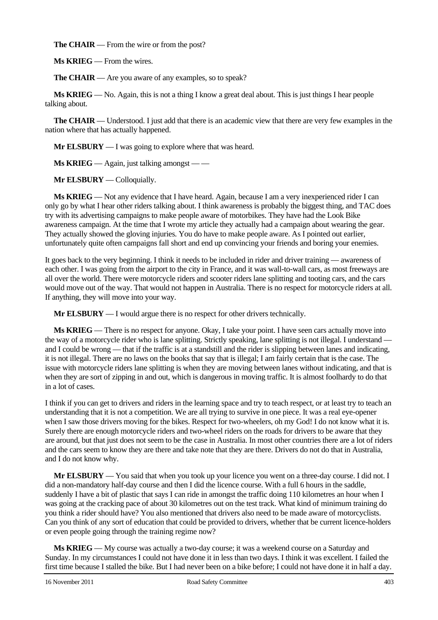**The CHAIR** — From the wire or from the post?

**Ms KRIEG** — From the wires.

**The CHAIR** — Are you aware of any examples, so to speak?

**Ms KRIEG** — No. Again, this is not a thing I know a great deal about. This is just things I hear people talking about.

**The CHAIR** — Understood. I just add that there is an academic view that there are very few examples in the nation where that has actually happened.

**Mr ELSBURY** — I was going to explore where that was heard.

**Ms KRIEG** — Again, just talking amongst — —

**Mr ELSBURY** — Colloquially.

**Ms KRIEG** — Not any evidence that I have heard. Again, because I am a very inexperienced rider I can only go by what I hear other riders talking about. I think awareness is probably the biggest thing, and TAC does try with its advertising campaigns to make people aware of motorbikes. They have had the Look Bike awareness campaign. At the time that I wrote my article they actually had a campaign about wearing the gear. They actually showed the gloving injuries. You do have to make people aware. As I pointed out earlier, unfortunately quite often campaigns fall short and end up convincing your friends and boring your enemies.

It goes back to the very beginning. I think it needs to be included in rider and driver training — awareness of each other. I was going from the airport to the city in France, and it was wall-to-wall cars, as most freeways are all over the world. There were motorcycle riders and scooter riders lane splitting and tooting cars, and the cars would move out of the way. That would not happen in Australia. There is no respect for motorcycle riders at all. If anything, they will move into your way.

**Mr ELSBURY** — I would argue there is no respect for other drivers technically.

**Ms KRIEG** — There is no respect for anyone. Okay, I take your point. I have seen cars actually move into the way of a motorcycle rider who is lane splitting. Strictly speaking, lane splitting is not illegal. I understand and I could be wrong — that if the traffic is at a standstill and the rider is slipping between lanes and indicating, it is not illegal. There are no laws on the books that say that is illegal; I am fairly certain that is the case. The issue with motorcycle riders lane splitting is when they are moving between lanes without indicating, and that is when they are sort of zipping in and out, which is dangerous in moving traffic. It is almost foolhardy to do that in a lot of cases.

I think if you can get to drivers and riders in the learning space and try to teach respect, or at least try to teach an understanding that it is not a competition. We are all trying to survive in one piece. It was a real eye-opener when I saw those drivers moving for the bikes. Respect for two-wheelers, oh my God! I do not know what it is. Surely there are enough motorcycle riders and two-wheel riders on the roads for drivers to be aware that they are around, but that just does not seem to be the case in Australia. In most other countries there are a lot of riders and the cars seem to know they are there and take note that they are there. Drivers do not do that in Australia, and I do not know why.

**Mr ELSBURY** — You said that when you took up your licence you went on a three-day course. I did not. I did a non-mandatory half-day course and then I did the licence course. With a full 6 hours in the saddle, suddenly I have a bit of plastic that says I can ride in amongst the traffic doing 110 kilometres an hour when I was going at the cracking pace of about 30 kilometres out on the test track. What kind of minimum training do you think a rider should have? You also mentioned that drivers also need to be made aware of motorcyclists. Can you think of any sort of education that could be provided to drivers, whether that be current licence-holders or even people going through the training regime now?

**Ms KRIEG** — My course was actually a two-day course; it was a weekend course on a Saturday and Sunday. In my circumstances I could not have done it in less than two days. I think it was excellent. I failed the first time because I stalled the bike. But I had never been on a bike before; I could not have done it in half a day.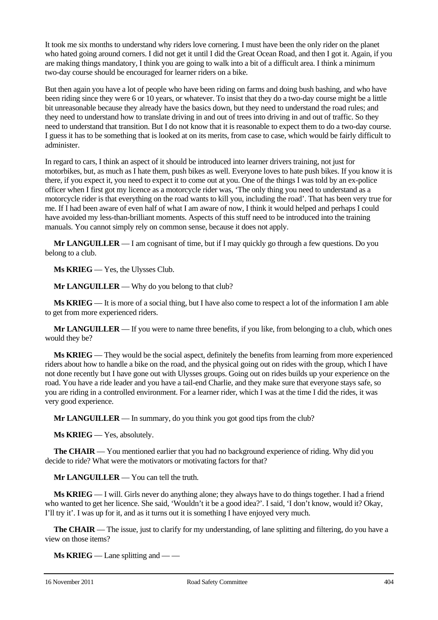It took me six months to understand why riders love cornering. I must have been the only rider on the planet who hated going around corners. I did not get it until I did the Great Ocean Road, and then I got it. Again, if you are making things mandatory, I think you are going to walk into a bit of a difficult area. I think a minimum two-day course should be encouraged for learner riders on a bike.

But then again you have a lot of people who have been riding on farms and doing bush bashing, and who have been riding since they were 6 or 10 years, or whatever. To insist that they do a two-day course might be a little bit unreasonable because they already have the basics down, but they need to understand the road rules; and they need to understand how to translate driving in and out of trees into driving in and out of traffic. So they need to understand that transition. But I do not know that it is reasonable to expect them to do a two-day course. I guess it has to be something that is looked at on its merits, from case to case, which would be fairly difficult to administer.

In regard to cars, I think an aspect of it should be introduced into learner drivers training, not just for motorbikes, but, as much as I hate them, push bikes as well. Everyone loves to hate push bikes. If you know it is there, if you expect it, you need to expect it to come out at you. One of the things I was told by an ex-police officer when I first got my licence as a motorcycle rider was, 'The only thing you need to understand as a motorcycle rider is that everything on the road wants to kill you, including the road'. That has been very true for me. If I had been aware of even half of what I am aware of now, I think it would helped and perhaps I could have avoided my less-than-brilliant moments. Aspects of this stuff need to be introduced into the training manuals. You cannot simply rely on common sense, because it does not apply.

**Mr LANGUILLER** — I am cognisant of time, but if I may quickly go through a few questions. Do you belong to a club.

**Ms KRIEG** — Yes, the Ulysses Club.

**Mr LANGUILLER** — Why do you belong to that club?

**Ms KRIEG** — It is more of a social thing, but I have also come to respect a lot of the information I am able to get from more experienced riders.

**Mr LANGUILLER** — If you were to name three benefits, if you like, from belonging to a club, which ones would they be?

**Ms KRIEG** — They would be the social aspect, definitely the benefits from learning from more experienced riders about how to handle a bike on the road, and the physical going out on rides with the group, which I have not done recently but I have gone out with Ulysses groups. Going out on rides builds up your experience on the road. You have a ride leader and you have a tail-end Charlie, and they make sure that everyone stays safe, so you are riding in a controlled environment. For a learner rider, which I was at the time I did the rides, it was very good experience.

**Mr LANGUILLER** — In summary, do you think you got good tips from the club?

**Ms KRIEG** — Yes, absolutely.

**The CHAIR** — You mentioned earlier that you had no background experience of riding. Why did you decide to ride? What were the motivators or motivating factors for that?

**Mr LANGUILLER** — You can tell the truth.

**Ms KRIEG** — I will. Girls never do anything alone; they always have to do things together. I had a friend who wanted to get her licence. She said, 'Wouldn't it be a good idea?'. I said, 'I don't know, would it? Okay, I'll try it'. I was up for it, and as it turns out it is something I have enjoyed very much.

**The CHAIR** — The issue, just to clarify for my understanding, of lane splitting and filtering, do you have a view on those items?

**Ms KRIEG** — Lane splitting and — —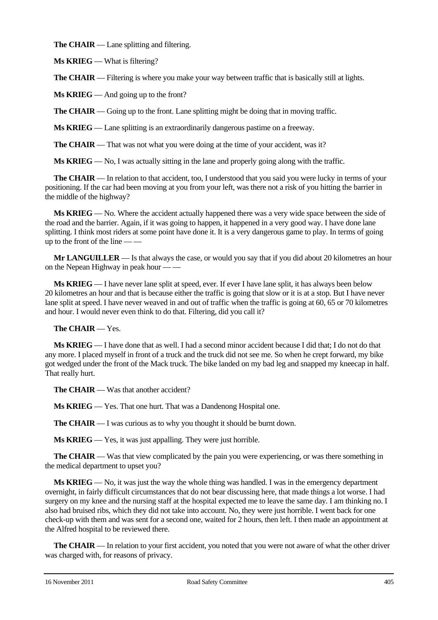**The CHAIR** — Lane splitting and filtering.

**Ms KRIEG** — What is filtering?

**The CHAIR** — Filtering is where you make your way between traffic that is basically still at lights.

**Ms KRIEG** — And going up to the front?

**The CHAIR** — Going up to the front. Lane splitting might be doing that in moving traffic.

**Ms KRIEG** — Lane splitting is an extraordinarily dangerous pastime on a freeway.

**The CHAIR** — That was not what you were doing at the time of your accident, was it?

**Ms KRIEG** — No, I was actually sitting in the lane and properly going along with the traffic.

**The CHAIR** — In relation to that accident, too, I understood that you said you were lucky in terms of your positioning. If the car had been moving at you from your left, was there not a risk of you hitting the barrier in the middle of the highway?

**Ms KRIEG** — No. Where the accident actually happened there was a very wide space between the side of the road and the barrier. Again, if it was going to happen, it happened in a very good way. I have done lane splitting. I think most riders at some point have done it. It is a very dangerous game to play. In terms of going up to the front of the line — —

**Mr LANGUILLER** — Is that always the case, or would you say that if you did about 20 kilometres an hour on the Nepean Highway in peak hour — —

**Ms KRIEG** — I have never lane split at speed, ever. If ever I have lane split, it has always been below 20 kilometres an hour and that is because either the traffic is going that slow or it is at a stop. But I have never lane split at speed. I have never weaved in and out of traffic when the traffic is going at 60, 65 or 70 kilometres and hour. I would never even think to do that. Filtering, did you call it?

**The CHAIR** — Yes.

**Ms KRIEG** — I have done that as well. I had a second minor accident because I did that; I do not do that any more. I placed myself in front of a truck and the truck did not see me. So when he crept forward, my bike got wedged under the front of the Mack truck. The bike landed on my bad leg and snapped my kneecap in half. That really hurt.

**The CHAIR** — Was that another accident?

**Ms KRIEG** — Yes. That one hurt. That was a Dandenong Hospital one.

**The CHAIR** — I was curious as to why you thought it should be burnt down.

**Ms KRIEG** — Yes, it was just appalling. They were just horrible.

**The CHAIR** — Was that view complicated by the pain you were experiencing, or was there something in the medical department to upset you?

**Ms KRIEG** — No, it was just the way the whole thing was handled. I was in the emergency department overnight, in fairly difficult circumstances that do not bear discussing here, that made things a lot worse. I had surgery on my knee and the nursing staff at the hospital expected me to leave the same day. I am thinking no. I also had bruised ribs, which they did not take into account. No, they were just horrible. I went back for one check-up with them and was sent for a second one, waited for 2 hours, then left. I then made an appointment at the Alfred hospital to be reviewed there.

**The CHAIR** — In relation to your first accident, you noted that you were not aware of what the other driver was charged with, for reasons of privacy.